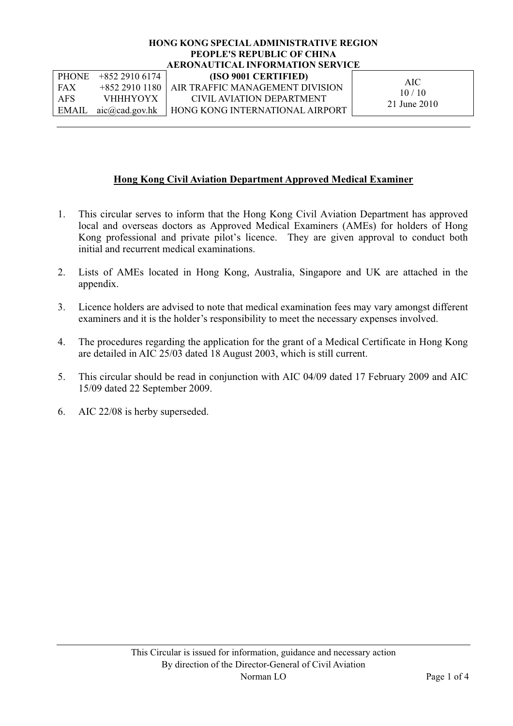| <b>HONG KONG SPECIAL ADMINISTRATIVE REGION</b> |                 |                                 |              |  |  |  |
|------------------------------------------------|-----------------|---------------------------------|--------------|--|--|--|
| PEOPLE'S REPUBLIC OF CHINA                     |                 |                                 |              |  |  |  |
| <b>AERONAUTICAL INFORMATION SERVICE</b>        |                 |                                 |              |  |  |  |
| <b>PHONE</b>                                   | $+85229106174$  | (ISO 9001 CERTIFIED)            | AIC          |  |  |  |
| <b>FAX</b>                                     | $+85229101180$  | AIR TRAFFIC MANAGEMENT DIVISION | 10/10        |  |  |  |
| <b>AFS</b>                                     | <b>VHHHYOYX</b> | CIVIL AVIATION DEPARTMENT       | 21 June 2010 |  |  |  |
| EMAIL                                          | aic@cad.gov.hk  | HONG KONG INTERNATIONAL AIRPORT |              |  |  |  |
|                                                |                 |                                 |              |  |  |  |

## **Hong Kong Civil Aviation Department Approved Medical Examiner**

- 1. This circular serves to inform that the Hong Kong Civil Aviation Department has approved local and overseas doctors as Approved Medical Examiners (AMEs) for holders of Hong Kong professional and private pilot's licence. They are given approval to conduct both initial and recurrent medical examinations.
- 2. Lists of AMEs located in Hong Kong, Australia, Singapore and UK are attached in the appendix.
- 3. Licence holders are advised to note that medical examination fees may vary amongst different examiners and it is the holder's responsibility to meet the necessary expenses involved.
- 4. The procedures regarding the application for the grant of a Medical Certificate in Hong Kong are detailed in AIC 25/03 dated 18 August 2003, which is still current.
- 5. This circular should be read in conjunction with AIC 04/09 dated 17 February 2009 and AIC 15/09 dated 22 September 2009.
- 6. AIC 22/08 is herby superseded.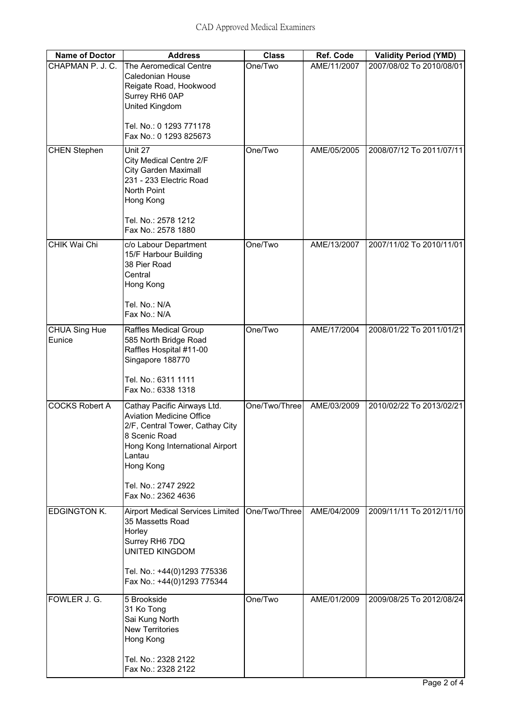| <b>Name of Doctor</b> | <b>Address</b>                                            | <b>Class</b>  | Ref. Code   | <b>Validity Period (YMD)</b> |
|-----------------------|-----------------------------------------------------------|---------------|-------------|------------------------------|
| CHAPMAN P. J. C.      | The Aeromedical Centre                                    | One/Two       | AME/11/2007 | 2007/08/02 To 2010/08/01     |
|                       | <b>Caledonian House</b>                                   |               |             |                              |
|                       | Reigate Road, Hookwood                                    |               |             |                              |
|                       | Surrey RH6 0AP                                            |               |             |                              |
|                       | United Kingdom                                            |               |             |                              |
|                       | Tel. No.: 0 1293 771178                                   |               |             |                              |
|                       | Fax No.: 0 1293 825673                                    |               |             |                              |
|                       |                                                           |               |             |                              |
| <b>CHEN Stephen</b>   | Unit 27<br>City Medical Centre 2/F                        | One/Two       | AME/05/2005 | 2008/07/12 To 2011/07/11     |
|                       | <b>City Garden Maximall</b>                               |               |             |                              |
|                       | 231 - 233 Electric Road                                   |               |             |                              |
|                       | North Point                                               |               |             |                              |
|                       | Hong Kong                                                 |               |             |                              |
|                       |                                                           |               |             |                              |
|                       | Tel. No.: 2578 1212<br>Fax No.: 2578 1880                 |               |             |                              |
|                       |                                                           |               |             |                              |
| <b>CHIK Wai Chi</b>   | c/o Labour Department<br>15/F Harbour Building            | One/Two       | AME/13/2007 | 2007/11/02 To 2010/11/01     |
|                       | 38 Pier Road                                              |               |             |                              |
|                       | Central                                                   |               |             |                              |
|                       | Hong Kong                                                 |               |             |                              |
|                       |                                                           |               |             |                              |
|                       | Tel. No.: N/A                                             |               |             |                              |
|                       | Fax No.: N/A                                              |               |             |                              |
| <b>CHUA Sing Hue</b>  | Raffles Medical Group                                     | One/Two       | AME/17/2004 | 2008/01/22 To 2011/01/21     |
| Eunice                | 585 North Bridge Road                                     |               |             |                              |
|                       | Raffles Hospital #11-00                                   |               |             |                              |
|                       | Singapore 188770                                          |               |             |                              |
|                       | Tel. No.: 6311 1111                                       |               |             |                              |
|                       | Fax No.: 6338 1318                                        |               |             |                              |
| <b>COCKS Robert A</b> | Cathay Pacific Airways Ltd.                               | One/Two/Three | AME/03/2009 | 2010/02/22 To 2013/02/21     |
|                       | <b>Aviation Medicine Office</b>                           |               |             |                              |
|                       | 2/F, Central Tower, Cathay City                           |               |             |                              |
|                       | 8 Scenic Road                                             |               |             |                              |
|                       | Hong Kong International Airport                           |               |             |                              |
|                       | Lantau                                                    |               |             |                              |
|                       | Hong Kong                                                 |               |             |                              |
|                       | Tel. No.: 2747 2922                                       |               |             |                              |
|                       | Fax No.: 2362 4636                                        |               |             |                              |
| <b>EDGINGTON K.</b>   | <b>Airport Medical Services Limited</b>                   | One/Two/Three | AME/04/2009 | 2009/11/11 To 2012/11/10     |
|                       | 35 Massetts Road                                          |               |             |                              |
|                       | Horley                                                    |               |             |                              |
|                       | Surrey RH6 7DQ                                            |               |             |                              |
|                       | <b>UNITED KINGDOM</b>                                     |               |             |                              |
|                       |                                                           |               |             |                              |
|                       | Tel. No.: +44(0)1293 775336<br>Fax No.: +44(0)1293 775344 |               |             |                              |
|                       |                                                           |               |             |                              |
| FOWLER J. G.          | 5 Brookside                                               | One/Two       | AME/01/2009 | 2009/08/25 To 2012/08/24     |
|                       | 31 Ko Tong                                                |               |             |                              |
|                       | Sai Kung North<br><b>New Territories</b>                  |               |             |                              |
|                       | Hong Kong                                                 |               |             |                              |
|                       |                                                           |               |             |                              |
|                       | Tel. No.: 2328 2122                                       |               |             |                              |
|                       | Fax No.: 2328 2122                                        |               |             |                              |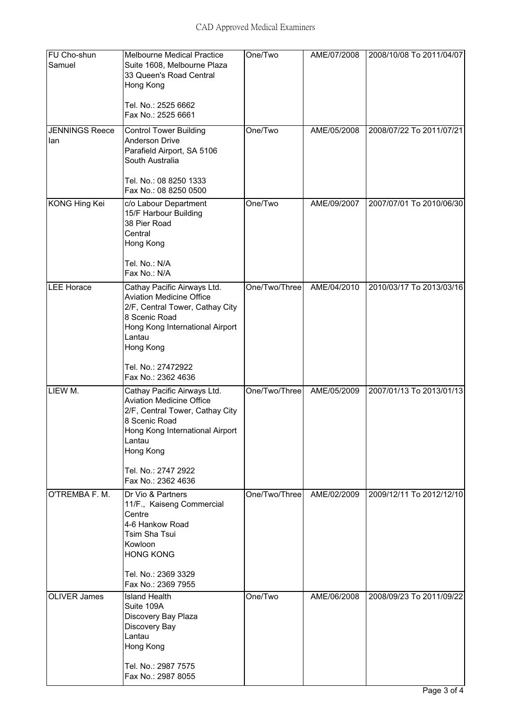| FU Cho-shun<br>Samuel        | <b>Melbourne Medical Practice</b><br>Suite 1608, Melbourne Plaza<br>33 Queen's Road Central<br>Hong Kong                                                                     | One/Two       | AME/07/2008 | 2008/10/08 To 2011/04/07 |
|------------------------------|------------------------------------------------------------------------------------------------------------------------------------------------------------------------------|---------------|-------------|--------------------------|
|                              | Tel. No.: 2525 6662<br>Fax No.: 2525 6661                                                                                                                                    |               |             |                          |
| <b>JENNINGS Reece</b><br>lan | <b>Control Tower Building</b><br><b>Anderson Drive</b><br>Parafield Airport, SA 5106<br>South Australia<br>Tel. No.: 08 8250 1333<br>Fax No.: 08 8250 0500                   | One/Two       | AME/05/2008 | 2008/07/22 To 2011/07/21 |
| KONG Hing Kei                | c/o Labour Department<br>15/F Harbour Building<br>38 Pier Road<br>Central<br>Hong Kong<br>Tel. No.: N/A<br>Fax No.: N/A                                                      | One/Two       | AME/09/2007 | 2007/07/01 To 2010/06/30 |
| <b>LEE Horace</b>            | Cathay Pacific Airways Ltd.<br><b>Aviation Medicine Office</b><br>2/F, Central Tower, Cathay City<br>8 Scenic Road<br>Hong Kong International Airport<br>Lantau<br>Hong Kong | One/Two/Three | AME/04/2010 | 2010/03/17 To 2013/03/16 |
|                              | Tel. No.: 27472922<br>Fax No.: 2362 4636                                                                                                                                     |               |             |                          |
| LIEW M.                      | Cathay Pacific Airways Ltd.<br><b>Aviation Medicine Office</b><br>2/F, Central Tower, Cathay City<br>8 Scenic Road<br>Hong Kong International Airport<br>Lantau<br>Hong Kong | One/Two/Three | AME/05/2009 | 2007/01/13 To 2013/01/13 |
|                              | Tel. No.: 2747 2922<br>Fax No.: 2362 4636                                                                                                                                    |               |             |                          |
| O'TREMBA F. M.               | Dr Vio & Partners<br>11/F., Kaiseng Commercial<br>Centre<br>4-6 Hankow Road<br>Tsim Sha Tsui<br>Kowloon<br><b>HONG KONG</b>                                                  | One/Two/Three | AME/02/2009 | 2009/12/11 To 2012/12/10 |
|                              | Tel. No.: 2369 3329<br>Fax No.: 2369 7955                                                                                                                                    |               |             |                          |
| <b>OLIVER James</b>          | <b>Island Health</b><br>Suite 109A<br>Discovery Bay Plaza<br>Discovery Bay<br>Lantau<br>Hong Kong<br>Tel. No.: 2987 7575<br>Fax No.: 2987 8055                               | One/Two       | AME/06/2008 | 2008/09/23 To 2011/09/22 |